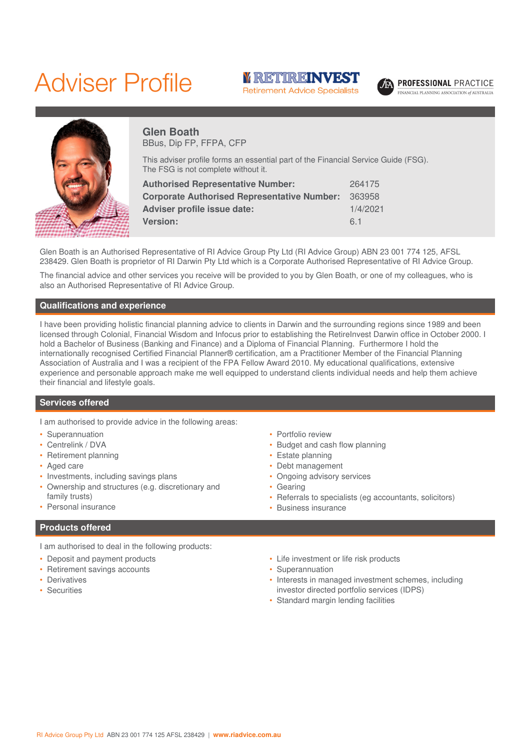# Adviser Profile





**PROFESSIONAL PRACTICE** INANCIAL PLANNING ASSOCIATION of AUSTRALIA



# **Glen Boath** BBus, Dip FP, FFPA, CFP

This adviser profile forms an essential part of the Financial Service Guide (FSG). The FSG is not complete without it.

| 264175   |
|----------|
| 363958   |
| 1/4/2021 |
| 6.1      |
|          |

Glen Boath is an Authorised Representative of RI Advice Group Pty Ltd (RI Advice Group) ABN 23 001 774 125, AFSL 238429. Glen Boath is proprietor of RI Darwin Pty Ltd which is a Corporate Authorised Representative of RI Advice Group.

The financial advice and other services you receive will be provided to you by Glen Boath, or one of my colleagues, who is also an Authorised Representative of RI Advice Group.

# **Qualifications and experience**

I have been providing holistic financial planning advice to clients in Darwin and the surrounding regions since 1989 and been licensed through Colonial, Financial Wisdom and Infocus prior to establishing the RetireInvest Darwin office in October 2000. I hold a Bachelor of Business (Banking and Finance) and a Diploma of Financial Planning. Furthermore I hold the internationally recognised Certified Financial Planner® certification, am a Practitioner Member of the Financial Planning Association of Australia and I was a recipient of the FPA Fellow Award 2010. My educational qualifications, extensive experience and personable approach make me well equipped to understand clients individual needs and help them achieve their financial and lifestyle goals.

### **Services offered**

I am authorised to provide advice in the following areas:

- Superannuation
- Centrelink / DVA
- Retirement planning
- Aged care
- Investments, including savings plans
- Ownership and structures (e.g. discretionary and family trusts)
- Personal insurance

## **Products offered**

I am authorised to deal in the following products:

- Deposit and payment products
- Retirement savings accounts
- **Derivatives**
- Securities
- Portfolio review
- Budget and cash flow planning
- Estate planning
- Debt management
- Ongoing advisory services
- Gearing
- Referrals to specialists (eg accountants, solicitors)
- Business insurance
- Life investment or life risk products
- Superannuation
- Interests in managed investment schemes, including investor directed portfolio services (IDPS)
- Standard margin lending facilities